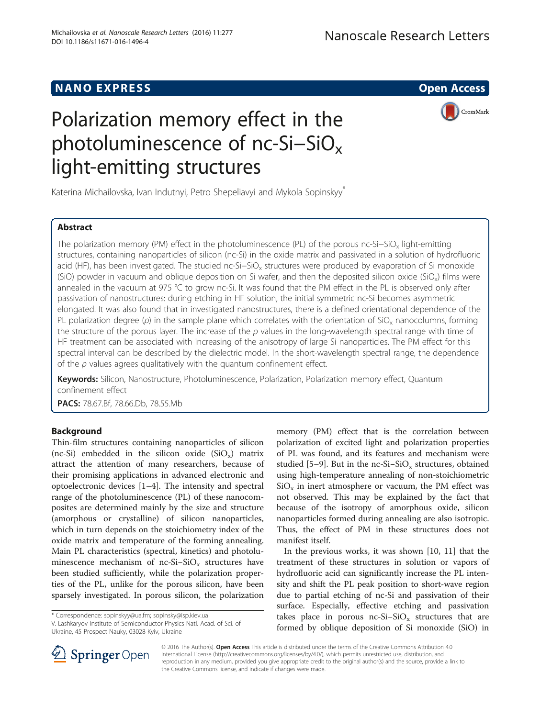## NANO EXPRESS AND IN THE SERVICE OPEN ACCESS AND THE SERVICE OF STATE OPEN ACCESS

CrossMark

# Polarization memory effect in the photoluminescence of nc-Si–SiO<sub>x</sub> light-emitting structures

Katerina Michailovska, Ivan Indutnyi, Petro Shepeliavyi and Mykola Sopinskyy<sup>\*</sup>

## Abstract

The polarization memory (PM) effect in the photoluminescence (PL) of the porous nc-Si−SiO<sub>v</sub> light-emitting structures, containing nanoparticles of silicon (nc-Si) in the oxide matrix and passivated in a solution of hydrofluoric acid (HF), has been investigated. The studied nc-Si–SiO<sub>x</sub> structures were produced by evaporation of Si monoxide (SiO) powder in vacuum and oblique deposition on Si wafer, and then the deposited silicon oxide (SiO<sub>x</sub>) films were annealed in the vacuum at 975 °C to grow nc-Si. It was found that the PM effect in the PL is observed only after passivation of nanostructures: during etching in HF solution, the initial symmetric nc-Si becomes asymmetric elongated. It was also found that in investigated nanostructures, there is a defined orientational dependence of the PL polarization degree ( $\rho$ ) in the sample plane which correlates with the orientation of SiO<sub>x</sub> nanocolumns, forming the structure of the porous layer. The increase of the  $\rho$  values in the long-wavelength spectral range with time of HF treatment can be associated with increasing of the anisotropy of large Si nanoparticles. The PM effect for this spectral interval can be described by the dielectric model. In the short-wavelength spectral range, the dependence of the  $\rho$  values agrees qualitatively with the quantum confinement effect.

Keywords: Silicon, Nanostructure, Photoluminescence, Polarization, Polarization memory effect, Quantum confinement effect

PACS: 78.67.Bf, 78.66.Db, 78.55.Mb

### Background

Thin-film structures containing nanoparticles of silicon (nc-Si) embedded in the silicon oxide  $(SiO_x)$  matrix attract the attention of many researchers, because of their promising applications in advanced electronic and optoelectronic devices [[1](#page-4-0)–[4\]](#page-5-0). The intensity and spectral range of the photoluminescence (PL) of these nanocomposites are determined mainly by the size and structure (amorphous or crystalline) of silicon nanoparticles, which in turn depends on the stoichiometry index of the oxide matrix and temperature of the forming annealing. Main PL characteristics (spectral, kinetics) and photoluminescence mechanism of nc-Si–SiO<sub>x</sub> structures have been studied sufficiently, while the polarization properties of the PL, unlike for the porous silicon, have been sparsely investigated. In porous silicon, the polarization

\* Correspondence: [sopinskyy@ua.fm](mailto:sopinskyy@ua.fm); [sopinsky@isp.kiev.ua](mailto:sopinsky@isp.kiev.ua)

V. Lashkaryov Institute of Semiconductor Physics Natl. Acad. of Sci. of Ukraine, 45 Prospect Nauky, 03028 Kyiv, Ukraine



memory (PM) effect that is the correlation between

treatment of these structures in solution or vapors of hydrofluoric acid can significantly increase the PL intensity and shift the PL peak position to short-wave region due to partial etching of nc-Si and passivation of their surface. Especially, effective etching and passivation takes place in porous nc-Si–SiO<sub>x</sub> structures that are formed by oblique deposition of Si monoxide (SiO) in



© 2016 The Author(s). Open Access This article is distributed under the terms of the Creative Commons Attribution 4.0 International License ([http://creativecommons.org/licenses/by/4.0/\)](http://creativecommons.org/licenses/by/4.0/), which permits unrestricted use, distribution, and reproduction in any medium, provided you give appropriate credit to the original author(s) and the source, provide a link to the Creative Commons license, and indicate if changes were made.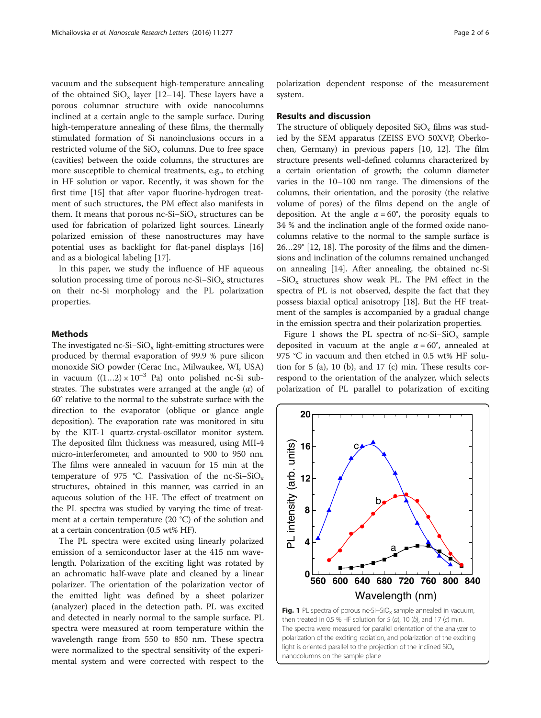<span id="page-1-0"></span>vacuum and the subsequent high-temperature annealing of the obtained  $SiO_x$  layer [[12](#page-5-0)–[14](#page-5-0)]. These layers have a porous columnar structure with oxide nanocolumns inclined at a certain angle to the sample surface. During high-temperature annealing of these films, the thermally stimulated formation of Si nanoinclusions occurs in a restricted volume of the  $SiO_x$  columns. Due to free space (cavities) between the oxide columns, the structures are more susceptible to chemical treatments, e.g., to etching in HF solution or vapor. Recently, it was shown for the first time [[15\]](#page-5-0) that after vapor fluorine-hydrogen treatment of such structures, the PM effect also manifests in them. It means that porous nc-Si–SiO<sub>x</sub> structures can be used for fabrication of polarized light sources. Linearly polarized emission of these nanostructures may have potential uses as backlight for flat-panel displays [[16](#page-5-0)] and as a biological labeling [\[17\]](#page-5-0).

In this paper, we study the influence of HF aqueous solution processing time of porous nc-Si–SiO<sub>x</sub> structures on their nc-Si morphology and the PL polarization properties.

#### Methods

The investigated nc-Si–SiO<sub>x</sub> light-emitting structures were produced by thermal evaporation of 99.9 % pure silicon monoxide SiO powder (Cerac Inc., Milwaukee, WI, USA) in vacuum  $((1...2) \times 10^{-3}$  Pa) onto polished nc-Si substrates. The substrates were arranged at the angle  $(\alpha)$  of 60° relative to the normal to the substrate surface with the direction to the evaporator (oblique or glance angle deposition). The evaporation rate was monitored in situ by the KIT-1 quartz-crystal-oscillator monitor system. The deposited film thickness was measured, using MII-4 micro-interferometer, and amounted to 900 to 950 nm. The films were annealed in vacuum for 15 min at the temperature of 975 °C. Passivation of the nc-Si–SiO<sub>x</sub> structures, obtained in this manner, was carried in an aqueous solution of the HF. The effect of treatment on the PL spectra was studied by varying the time of treatment at a certain temperature (20 °C) of the solution and at a certain concentration (0.5 wt% HF).

The PL spectra were excited using linearly polarized emission of a semiconductor laser at the 415 nm wavelength. Polarization of the exciting light was rotated by an achromatic half-wave plate and cleaned by a linear polarizer. The orientation of the polarization vector of the emitted light was defined by a sheet polarizer (analyzer) placed in the detection path. PL was excited and detected in nearly normal to the sample surface. PL spectra were measured at room temperature within the wavelength range from 550 to 850 nm. These spectra were normalized to the spectral sensitivity of the experimental system and were corrected with respect to the

polarization dependent response of the measurement system.

#### Results and discussion

The structure of obliquely deposited  $SiO_x$  films was studied by the SEM apparatus (ZEISS EVO 50XVP, Oberkochen, Germany) in previous papers [\[10, 12\]](#page-5-0). The film structure presents well-defined columns characterized by a certain orientation of growth; the column diameter varies in the 10–100 nm range. The dimensions of the columns, their orientation, and the porosity (the relative volume of pores) of the films depend on the angle of deposition. At the angle  $\alpha = 60^{\circ}$ , the porosity equals to 34 % and the inclination angle of the formed oxide nanocolumns relative to the normal to the sample surface is 26…29° [\[12, 18](#page-5-0)]. The porosity of the films and the dimensions and inclination of the columns remained unchanged on annealing [[14](#page-5-0)]. After annealing, the obtained nc-Si −SiOx structures show weak PL. The PM effect in the spectra of PL is not observed, despite the fact that they possess biaxial optical anisotropy [\[18\]](#page-5-0). But the HF treatment of the samples is accompanied by a gradual change in the emission spectra and their polarization properties.

Figure 1 shows the PL spectra of nc-Si–SiO<sub>x</sub> sample deposited in vacuum at the angle  $\alpha = 60^{\circ}$ , annealed at 975 °C in vacuum and then etched in 0.5 wt% HF solution for 5 (a), 10 (b), and 17 (c) min. These results correspond to the orientation of the analyzer, which selects polarization of PL parallel to polarization of exciting

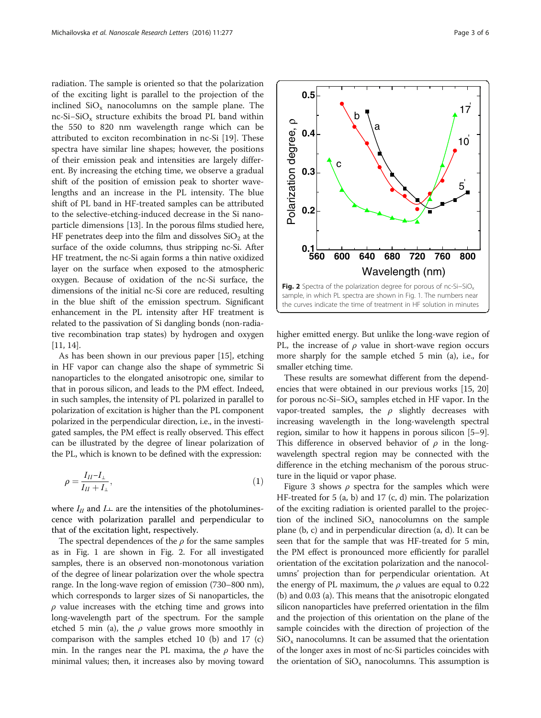<span id="page-2-0"></span>radiation. The sample is oriented so that the polarization of the exciting light is parallel to the projection of the inclined  $SiO_x$  nanocolumns on the sample plane. The nc-Si–SiO<sub>x</sub> structure exhibits the broad PL band within the 550 to 820 nm wavelength range which can be attributed to exciton recombination in nc-Si [[19](#page-5-0)]. These spectra have similar line shapes; however, the positions of their emission peak and intensities are largely different. By increasing the etching time, we observe a gradual shift of the position of emission peak to shorter wavelengths and an increase in the PL intensity. The blue shift of PL band in HF-treated samples can be attributed to the selective-etching-induced decrease in the Si nanoparticle dimensions [\[13](#page-5-0)]. In the porous films studied here, HF penetrates deep into the film and dissolves  $SiO<sub>2</sub>$  at the surface of the oxide columns, thus stripping nc-Si. After HF treatment, the nc-Si again forms a thin native oxidized layer on the surface when exposed to the atmospheric oxygen. Because of oxidation of the nc-Si surface, the dimensions of the initial nc-Si core are reduced, resulting in the blue shift of the emission spectrum. Significant enhancement in the PL intensity after HF treatment is related to the passivation of Si dangling bonds (non-radiative recombination trap states) by hydrogen and oxygen [[11](#page-5-0), [14\]](#page-5-0).

As has been shown in our previous paper [[15\]](#page-5-0), etching in HF vapor can change also the shape of symmetric Si nanoparticles to the elongated anisotropic one, similar to that in porous silicon, and leads to the PM effect. Indeed, in such samples, the intensity of PL polarized in parallel to polarization of excitation is higher than the PL component polarized in the perpendicular direction, i.e., in the investigated samples, the PM effect is really observed. This effect can be illustrated by the degree of linear polarization of the PL, which is known to be defined with the expression:

$$
\rho = \frac{I_{II} - I_{\perp}}{I_{II} + I_{\perp}},\tag{1}
$$

where  $I_{II}$  and  $I_{\perp}$  are the intensities of the photoluminescence with polarization parallel and perpendicular to that of the excitation light, respectively.

The spectral dependences of the  $\rho$  for the same samples as in Fig. [1](#page-1-0) are shown in Fig. 2. For all investigated samples, there is an observed non-monotonous variation of the degree of linear polarization over the whole spectra range. In the long-wave region of emission (730–800 nm), which corresponds to larger sizes of Si nanoparticles, the  $\rho$  value increases with the etching time and grows into long-wavelength part of the spectrum. For the sample etched 5 min (a), the  $\rho$  value grows more smoothly in comparison with the samples etched 10 (b) and 17 (c) min. In the ranges near the PL maxima, the  $\rho$  have the minimal values; then, it increases also by moving toward



higher emitted energy. But unlike the long-wave region of PL, the increase of  $\rho$  value in short-wave region occurs more sharply for the sample etched 5 min (a), i.e., for smaller etching time.

These results are somewhat different from the dependencies that were obtained in our previous works [\[15](#page-5-0), [20](#page-5-0)] for porous nc-Si–SiO<sub>x</sub> samples etched in HF vapor. In the vapor-treated samples, the  $\rho$  slightly decreases with increasing wavelength in the long-wavelength spectral region, similar to how it happens in porous silicon [[5](#page-5-0)–[9](#page-5-0)]. This difference in observed behavior of  $\rho$  in the longwavelength spectral region may be connected with the difference in the etching mechanism of the porous structure in the liquid or vapor phase.

Figure [3](#page-3-0) shows  $\rho$  spectra for the samples which were HF-treated for 5 (a, b) and 17 (c, d) min. The polarization of the exciting radiation is oriented parallel to the projection of the inclined  $SiO<sub>x</sub>$  nanocolumns on the sample plane (b, c) and in perpendicular direction (a, d). It can be seen that for the sample that was HF-treated for 5 min, the PM effect is pronounced more efficiently for parallel orientation of the excitation polarization and the nanocolumns' projection than for perpendicular orientation. At the energy of PL maximum, the  $\rho$  values are equal to 0.22 (b) and 0.03 (a). This means that the anisotropic elongated silicon nanoparticles have preferred orientation in the film and the projection of this orientation on the plane of the sample coincides with the direction of projection of the  $SiO<sub>x</sub>$  nanocolumns. It can be assumed that the orientation of the longer axes in most of nc-Si particles coincides with the orientation of  $SiO_x$  nanocolumns. This assumption is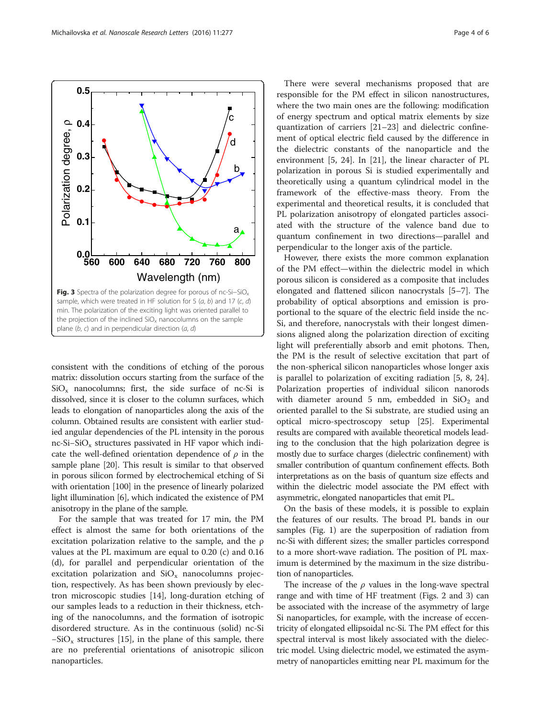<span id="page-3-0"></span>![](_page_3_Figure_2.jpeg)

consistent with the conditions of etching of the porous matrix: dissolution occurs starting from the surface of the  $SiO<sub>x</sub>$  nanocolumns; first, the side surface of nc-Si is dissolved, since it is closer to the column surfaces, which leads to elongation of nanoparticles along the axis of the column. Obtained results are consistent with earlier studied angular dependencies of the PL intensity in the porous nc-Si–SiO<sub>x</sub> structures passivated in HF vapor which indicate the well-defined orientation dependence of  $\rho$  in the sample plane [[20](#page-5-0)]. This result is similar to that observed in porous silicon formed by electrochemical etching of Si with orientation [100] in the presence of linearly polarized light illumination [\[6\]](#page-5-0), which indicated the existence of PM anisotropy in the plane of the sample.

For the sample that was treated for 17 min, the PM effect is almost the same for both orientations of the excitation polarization relative to the sample, and the ρ values at the PL maximum are equal to 0.20 (c) and 0.16 (d), for parallel and perpendicular orientation of the excitation polarization and  $SiO<sub>x</sub>$  nanocolumns projection, respectively. As has been shown previously by electron microscopic studies [\[14\]](#page-5-0), long-duration etching of our samples leads to a reduction in their thickness, etching of the nanocolumns, and the formation of isotropic disordered structure. As in the continuous (solid) nc-Si  $-SiO_x$  structures [[15](#page-5-0)], in the plane of this sample, there are no preferential orientations of anisotropic silicon nanoparticles.

There were several mechanisms proposed that are responsible for the PM effect in silicon nanostructures, where the two main ones are the following: modification of energy spectrum and optical matrix elements by size quantization of carriers [[21](#page-5-0)–[23](#page-5-0)] and dielectric confinement of optical electric field caused by the difference in the dielectric constants of the nanoparticle and the environment [\[5](#page-5-0), [24](#page-5-0)]. In [\[21](#page-5-0)], the linear character of PL polarization in porous Si is studied experimentally and theoretically using a quantum cylindrical model in the framework of the effective-mass theory. From the experimental and theoretical results, it is concluded that PL polarization anisotropy of elongated particles associated with the structure of the valence band due to quantum confinement in two directions—parallel and perpendicular to the longer axis of the particle.

However, there exists the more common explanation of the PM effect—within the dielectric model in which porous silicon is considered as a composite that includes elongated and flattened silicon nanocrystals [[5](#page-5-0)–[7\]](#page-5-0). The probability of optical absorptions and emission is proportional to the square of the electric field inside the nc-Si, and therefore, nanocrystals with their longest dimensions aligned along the polarization direction of exciting light will preferentially absorb and emit photons. Then, the PM is the result of selective excitation that part of the non-spherical silicon nanoparticles whose longer axis is parallel to polarization of exciting radiation [\[5](#page-5-0), [8, 24](#page-5-0)]. Polarization properties of individual silicon nanorods with diameter around 5 nm, embedded in  $SiO<sub>2</sub>$  and oriented parallel to the Si substrate, are studied using an optical micro-spectroscopy setup [[25\]](#page-5-0). Experimental results are compared with available theoretical models leading to the conclusion that the high polarization degree is mostly due to surface charges (dielectric confinement) with smaller contribution of quantum confinement effects. Both interpretations as on the basis of quantum size effects and within the dielectric model associate the PM effect with asymmetric, elongated nanoparticles that emit PL.

On the basis of these models, it is possible to explain the features of our results. The broad PL bands in our samples (Fig. [1](#page-1-0)) are the superposition of radiation from nc-Si with different sizes; the smaller particles correspond to a more short-wave radiation. The position of PL maximum is determined by the maximum in the size distribution of nanoparticles.

The increase of the  $\rho$  values in the long-wave spectral range and with time of HF treatment (Figs. [2](#page-2-0) and 3) can be associated with the increase of the asymmetry of large Si nanoparticles, for example, with the increase of eccentricity of elongated ellipsoidal nc-Si. The PM effect for this spectral interval is most likely associated with the dielectric model. Using dielectric model, we estimated the asymmetry of nanoparticles emitting near PL maximum for the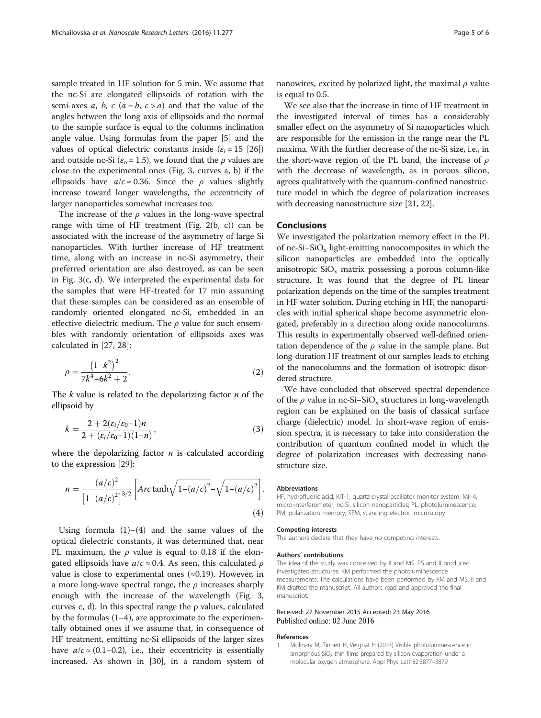<span id="page-4-0"></span>sample treated in HF solution for 5 min. We assume that the nc-Si are elongated ellipsoids of rotation with the semi-axes a, b, c  $(a = b, c > a)$  and that the value of the angles between the long axis of ellipsoids and the normal to the sample surface is equal to the columns inclination angle value. Using formulas from the paper [[5](#page-5-0)] and the values of optical dielectric constants inside ( $\varepsilon_i = 15$  [[26](#page-5-0)]) and outside nc-Si ( $\varepsilon$ <sub>o</sub> = 1.5), we found that the *ρ* values are close to the experimental ones (Fig. [3,](#page-3-0) curves a, b) if the ellipsoids have  $a/c \approx 0.36$ . Since the  $\rho$  values slightly increase toward longer wavelengths, the eccentricity of larger nanoparticles somewhat increases too.

The increase of the  $\rho$  values in the long-wave spectral range with time of HF treatment (Fig. [2\(](#page-2-0)b, c)) can be associated with the increase of the asymmetry of large Si nanoparticles. With further increase of HF treatment time, along with an increase in nc-Si asymmetry, their preferred orientation are also destroyed, as can be seen in Fig. [3](#page-3-0)(c, d). We interpreted the experimental data for the samples that were HF-treated for 17 min assuming that these samples can be considered as an ensemble of randomly oriented elongated nc-Si, embedded in an effective dielectric medium. The  $\rho$  value for such ensembles with randomly orientation of ellipsoids axes was calculated in [[27](#page-5-0), [28](#page-5-0)]:

$$
\rho = \frac{\left(1 - k^2\right)^2}{7k^4 - 6k^2 + 2}.\tag{2}
$$

The  $k$  value is related to the depolarizing factor  $n$  of the ellipsoid by

$$
k = \frac{2 + 2(\varepsilon_i/\varepsilon_0 - 1)n}{2 + (\varepsilon_i/\varepsilon_0 - 1)(1 - n)},
$$
\n(3)

where the depolarizing factor  $n$  is calculated according to the expression [[29\]](#page-5-0):

$$
n = \frac{(a/c)^{2}}{\left[1 - (a/c)^{2}\right]^{3/2}} \left[Arc \tanh\sqrt{1 - (a/c)^{2}} - \sqrt{1 - (a/c)^{2}}\right].
$$
\n(4)

Using formula  $(1)$ – $(4)$  and the same values of the optical dielectric constants, it was determined that, near PL maximum, the  $\rho$  value is equal to 0.18 if the elongated ellipsoids have  $a/c \approx 0.4$ . As seen, this calculated  $\rho$ value is close to experimental ones  $(\approx 0.19)$ . However, in a more long-wave spectral range, the  $\rho$  increases sharply enough with the increase of the wavelength (Fig. [3](#page-3-0), curves c, d). In this spectral range the ρ values, calculated by the formulas (1–4), are approximate to the experimentally obtained ones if we assume that, in consequence of HF treatment, emitting nc-Si ellipsoids of the larger sizes have  $a/c \approx (0.1-0.2)$ , i.e., their eccentricity is essentially increased. As shown in [[30](#page-5-0)], in a random system of

nanowires, excited by polarized light, the maximal  $\rho$  value is equal to 0.5.

We see also that the increase in time of HF treatment in the investigated interval of times has a considerably smaller effect on the asymmetry of Si nanoparticles which are responsible for the emission in the range near the PL maxima. With the further decrease of the nc-Si size, i.e., in the short-wave region of the PL band, the increase of  $\rho$ with the decrease of wavelength, as in porous silicon, agrees qualitatively with the quantum-confined nanostructure model in which the degree of polarization increases with decreasing nanostructure size [[21, 22\]](#page-5-0).

#### **Conclusions**

We investigated the polarization memory effect in the PL of nc-Si−SiOx light-emitting nanocomposites in which the silicon nanoparticles are embedded into the optically anisotropic  $SiO_x$  matrix possessing a porous column-like structure. It was found that the degree of PL linear polarization depends on the time of the samples treatment in HF water solution. During etching in HF, the nanoparticles with initial spherical shape become asymmetric elongated, preferably in a direction along oxide nanocolumns. This results in experimentally observed well-defined orientation dependence of the  $\rho$  value in the sample plane. But long-duration HF treatment of our samples leads to etching of the nanocolumns and the formation of isotropic disordered structure.

We have concluded that observed spectral dependence of the  $\rho$  value in nc-Si–SiO<sub>x</sub> structures in long-wavelength region can be explained on the basis of classical surface charge (dielectric) model. In short-wave region of emission spectra, it is necessary to take into consideration the contribution of quantum confined model in which the degree of polarization increases with decreasing nanostructure size.

#### Abbreviations

HF, hydrofluoric acid; KIT-1, quartz-crystal-oscillator monitor system; MII-4, micro-interferometer; nc-Si, silicon nanoparticles; PL, photoluminescence; PM, polarization memory; SEM, scanning electron microscopy

#### Competing interests

The authors declare that they have no competing interests.

#### Authors' contributions

The idea of the study was conceived by II and MS. PS and II produced investigated structures. KM performed the photoluminescence measurements. The calculations have been performed by KM and MS. II and KM drafted the manuscript. All authors read and approved the final manuscript.

#### Received: 27 November 2015 Accepted: 23 May 2016 Published online: 02 June 2016

#### References

1. Molinary M, Rinnert H, Vergnat H (2003) Visible photoluminescence in amorphous SiO<sub>v</sub> thin films prepared by silicon evaporation under a molecular oxygen atmosphere. Appl Phys Lett 82:3877–3879